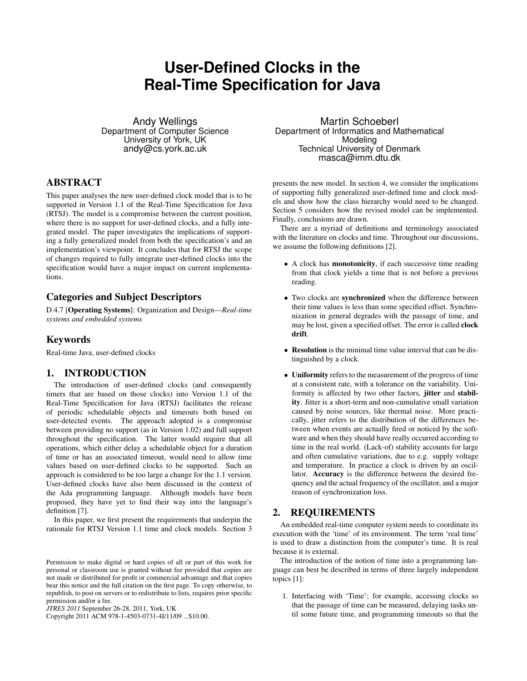# **User-Defined Clocks in the Real-Time Specification for Java**

Andy Wellings Department of Computer Science University of York, UK andy@cs.york.ac.uk

## ABSTRACT

This paper analyses the new user-defined clock model that is to be supported in Version 1.1 of the Real-Time Specification for Java (RTSJ). The model is a compromise between the current position, where there is no support for user-defined clocks, and a fully integrated model. The paper investigates the implications of supporting a fully generalized model from both the specification's and an implementation's viewpoint. It concludes that for RTSJ the scope of changes required to fully integrate user-defined clocks into the specification would have a major impact on current implementations.

## Categories and Subject Descriptors

D.4.7 [Operating Systems]: Organization and Design—*Real-time systems and embedded systems*

## Keywords

Real-time Java, user-defined clocks

## 1. INTRODUCTION

The introduction of user-defined clocks (and consequently timers that are based on those clocks) into Version 1.1 of the Real-Time Specification for Java (RTSJ) facilitates the release of periodic schedulable objects and timeouts both based on user-detected events. The approach adopted is a compromise between providing no support (as in Version 1.02) and full support throughout the specification. The latter would require that all operations, which either delay a schedulable object for a duration of time or has an associated timeout, would need to allow time values based on user-defined clocks to be supported. Such an approach is considered to be too large a change for the 1.1 version. User-defined clocks have also been discussed in the context of the Ada programming language. Although models have been proposed, they have yet to find their way into the language's definition [\[7\]](#page-7-0).

In this paper, we first present the requirements that underpin the rationale for RTSJ Version 1.1 time and clock models. Section [3](#page-1-0)

Copyright 2011 ACM 978-1-4503-0731-4I/11/09 ...\$10.00.

Martin Schoeberl Department of Informatics and Mathematical Modeling Technical University of Denmark masca@imm.dtu.dk

presents the new model. In section [4,](#page-3-0) we consider the implications of supporting fully generalized user-defined time and clock models and show how the class hierarchy would need to be changed. Section [5](#page-6-0) considers how the revised model can be implemented. Finally, conclusions are drawn.

There are a myriad of definitions and terminology associated with the literature on clocks and time. Throughout our discussions, we assume the following definitions [\[2\]](#page-7-1).

- A clock has **monotonicity**, if each successive time reading from that clock yields a time that is not before a previous reading.
- Two clocks are synchronized when the difference between their time values is less than some specified offset. Synchronization in general degrades with the passage of time, and may be lost, given a specified offset. The error is called clock drift.
- Resolution is the minimal time value interval that can be distinguished by a clock.
- Uniformity refers to the measurement of the progress of time at a consistent rate, with a tolerance on the variability. Uniformity is affected by two other factors, jitter and stability. Jitter is a short-term and non-cumulative small variation caused by noise sources, like thermal noise. More practically, jitter refers to the distribution of the differences between when events are actually fired or noticed by the software and when they should have really occurred according to time in the real world. (Lack-of) stability accounts for large and often cumulative variations, due to e.g. supply voltage and temperature. In practice a clock is driven by an oscillator. Accuracy is the difference between the desired frequency and the actual frequency of the oscillator, and a major reason of synchronization loss.

## <span id="page-0-0"></span>2. REQUIREMENTS

An embedded real-time computer system needs to coordinate its execution with the 'time' of its environment. The term 'real time' is used to draw a distinction from the computer's time. It is real because it is external.

The introduction of the notion of time into a programming language can best be described in terms of three largely independent topics [\[1\]](#page-7-2):

1. Interfacing with 'Time'; for example, accessing clocks so that the passage of time can be measured, delaying tasks until some future time, and programming timeouts so that the

Permission to make digital or hard copies of all or part of this work for personal or classroom use is granted without fee provided that copies are not made or distributed for profit or commercial advantage and that copies bear this notice and the full citation on the first page. To copy otherwise, to republish, to post on servers or to redistribute to lists, requires prior specific permission and/or a fee.

*JTRES 2011* September 26-28, 2011, York, UK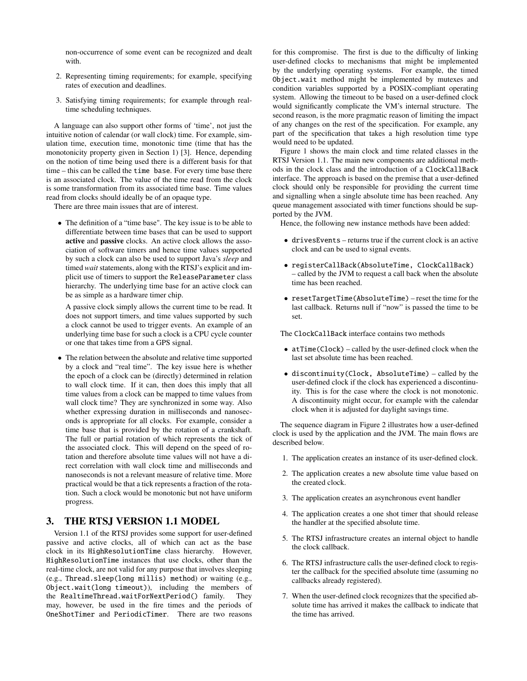non-occurrence of some event can be recognized and dealt with.

- 2. Representing timing requirements; for example, specifying rates of execution and deadlines.
- 3. Satisfying timing requirements; for example through realtime scheduling techniques.

A language can also support other forms of 'time', not just the intuitive notion of calendar (or wall clock) time. For example, simulation time, execution time, monotonic time (time that has the monotonicity property given in Section 1) [\[3\]](#page-7-3). Hence, depending on the notion of time being used there is a different basis for that time – this can be called the time base. For every time base there is an associated clock. The value of the time read from the clock is some transformation from its associated time base. Time values read from clocks should ideally be of an opaque type.

There are three main issues that are of interest.

• The definition of a "time base". The key issue is to be able to differentiate between time bases that can be used to support active and passive clocks. An active clock allows the association of software timers and hence time values supported by such a clock can also be used to support Java's *sleep* and timed *wait* statements, along with the RTSJ's explicit and implicit use of timers to support the ReleaseParameter class hierarchy. The underlying time base for an active clock can be as simple as a hardware timer chip.

A passive clock simply allows the current time to be read. It does not support timers, and time values supported by such a clock cannot be used to trigger events. An example of an underlying time base for such a clock is a CPU cycle counter or one that takes time from a GPS signal.

• The relation between the absolute and relative time supported by a clock and "real time". The key issue here is whether the epoch of a clock can be (directly) determined in relation to wall clock time. If it can, then does this imply that all time values from a clock can be mapped to time values from wall clock time? They are synchronized in some way. Also whether expressing duration in milliseconds and nanoseconds is appropriate for all clocks. For example, consider a time base that is provided by the rotation of a crankshaft. The full or partial rotation of which represents the tick of the associated clock. This will depend on the speed of rotation and therefore absolute time values will not have a direct correlation with wall clock time and milliseconds and nanoseconds is not a relevant measure of relative time. More practical would be that a tick represents a fraction of the rotation. Such a clock would be monotonic but not have uniform progress.

### <span id="page-1-0"></span>3. THE RTSJ VERSION 1.1 MODEL

Version 1.1 of the RTSJ provides some support for user-defined passive and active clocks, all of which can act as the base clock in its HighResolutionTime class hierarchy. However, HighResolutionTime instances that use clocks, other than the real-time clock, are not valid for any purpose that involves sleeping (e.g., Thread.sleep(long millis) method) or waiting (e.g., Object.wait(long timeout)), including the members of the RealtimeThread.waitForNextPeriod() family. They may, however, be used in the fire times and the periods of OneShotTimer and PeriodicTimer. There are two reasons for this compromise. The first is due to the difficulty of linking user-defined clocks to mechanisms that might be implemented by the underlying operating systems. For example, the timed Object.wait method might be implemented by mutexes and condition variables supported by a POSIX-compliant operating system. Allowing the timeout to be based on a user-defined clock would significantly complicate the VM's internal structure. The second reason, is the more pragmatic reason of limiting the impact of any changes on the rest of the specification. For example, any part of the specification that takes a high resolution time type would need to be updated.

Figure [1](#page-2-0) shows the main clock and time related classes in the RTSJ Version 1.1. The main new components are additional methods in the clock class and the introduction of a ClockCallBack interface. The approach is based on the premise that a user-defined clock should only be responsible for providing the current time and signalling when a single absolute time has been reached. Any queue management associated with timer functions should be supported by the JVM.

Hence, the following new instance methods have been added:

- drivesEvents returns true if the current clock is an active clock and can be used to signal events.
- registerCallBack(AbsoluteTime, ClockCallBack) – called by the JVM to request a call back when the absolute time has been reached.
- resetTargetTime(AbsoluteTime) reset the time for the last callback. Returns null if "now" is passed the time to be set.

The ClockCallBack interface contains two methods

- atTime(Clock) called by the user-defined clock when the last set absolute time has been reached.
- discontinuity(Clock, AbsoluteTime) called by the user-defined clock if the clock has experienced a discontinuity. This is for the case where the clock is not monotonic. A discontinuity might occur, for example with the calendar clock when it is adjusted for daylight savings time.

The sequence diagram in Figure [2](#page-3-1) illustrates how a user-defined clock is used by the application and the JVM. The main flows are described below.

- 1. The application creates an instance of its user-defined clock.
- 2. The application creates a new absolute time value based on the created clock.
- 3. The application creates an asynchronous event handler
- 4. The application creates a one shot timer that should release the handler at the specified absolute time.
- 5. The RTSJ infrastructure creates an internal object to handle the clock callback.
- 6. The RTSJ infrastructure calls the user-defined clock to register the callback for the specified absolute time (assuming no callbacks already registered).
- 7. When the user-defined clock recognizes that the specified absolute time has arrived it makes the callback to indicate that the time has arrived.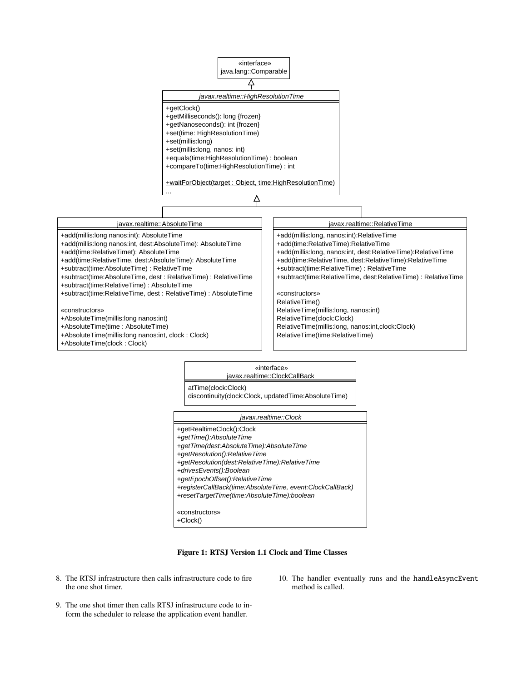

#### «interface» javax.realtime::ClockCallBack

atTime(clock:Clock) discontinuity(clock:Clock, updatedTime:AbsoluteTime)

| iavax.realtime::Clock                                     |
|-----------------------------------------------------------|
| +getRealtimeClock():Clock                                 |
| +getTime():AbsoluteTime                                   |
| +getTime(dest:AbsoluteTime):AbsoluteTime                  |
| +getResolution():RelativeTime                             |
| +getResolution(dest:RelativeTime):RelativeTime            |
| +drivesEvents():Boolean                                   |
| +getEpochOffset():RelativeTime                            |
| +registerCallBack(time:AbsoluteTime, event:ClockCallBack) |
| +resetTargetTime(time:AbsoluteTime):boolean               |
|                                                           |
| «constructors»                                            |
| +Clock()                                                  |

#### Figure 1: RTSJ Version 1.1 Clock and Time Classes

- <span id="page-2-0"></span>8. The RTSJ infrastructure then calls infrastructure code to fire the one shot timer.
- 10. The handler eventually runs and the handleAsyncEvent method is called.
- 9. The one shot timer then calls RTSJ infrastructure code to inform the scheduler to release the application event handler.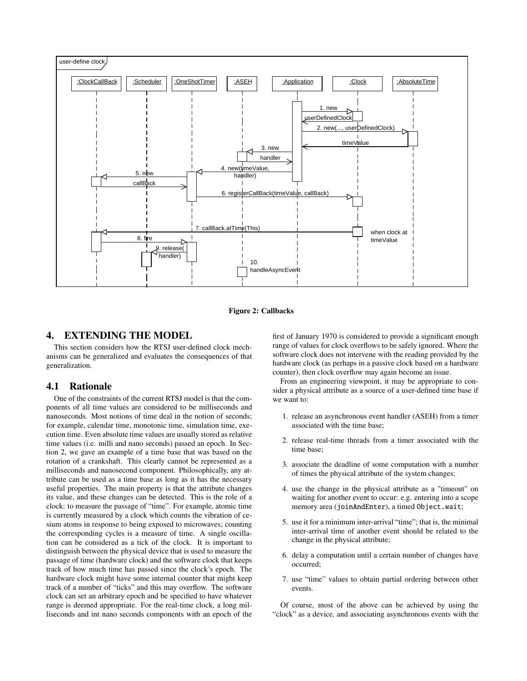

Figure 2: Callbacks

## <span id="page-3-1"></span><span id="page-3-0"></span>4. EXTENDING THE MODEL

This section considers how the RTSJ user-defined clock mechanisms can be generalized and evaluates the consequences of that generalization.

#### 4.1 Rationale

One of the constraints of the current RTSJ model is that the components of all time values are considered to be milliseconds and nanoseconds. Most notions of time deal in the notion of seconds; for example, calendar time, monotonic time, simulation time, execution time. Even absolute time values are usually stored as relative time values (i.e. milli and nano seconds) passed an epoch. In Section [2,](#page-0-0) we gave an example of a time base that was based on the rotation of a crankshaft. This clearly cannot be represented as a milliseconds and nanosecond component. Philosophically, any attribute can be used as a time base as long as it has the necessary useful properties. The main property is that the attribute changes its value, and these changes can be detected. This is the role of a clock: to measure the passage of "time". For example, atomic time is currently measured by a clock which counts the vibration of cesium atoms in response to being exposed to microwaves; counting the corresponding cycles is a measure of time. A single oscillation can be considered as a tick of the clock. It is important to distinguish between the physical device that is used to measure the passage of time (hardware clock) and the software clock that keeps track of how much time has passed since the clock's epoch. The hardware clock might have some internal counter that might keep track of a number of "ticks" and this may overflow. The software clock can set an arbitrary epoch and be specified to have whatever range is deemed appropriate. For the real-time clock, a long milliseconds and int nano seconds components with an epoch of the first of January 1970 is considered to provide a significant enough range of values for clock overflows to be safely ignored. Where the software clock does not intervene with the reading provided by the hardware clock (as perhaps in a passive clock based on a hardware counter), then clock overflow may again become an issue.

From an engineering viewpoint, it may be appropriate to consider a physical attribute as a source of a user-defined time base if we want to:

- 1. release an asynchronous event handler (ASEH) from a timer associated with the time base;
- 2. release real-time threads from a timer associated with the time base;
- 3. associate the deadline of some computation with a number of times the physical attribute of the system changes;
- 4. use the change in the physical attribute as a "timeout" on waiting for another event to occur: e.g. entering into a scope memory area (joinAndEnter), a timed Object.wait;
- 5. use it for a minimum inter-arrival "time"; that is, the minimal inter-arrival time of another event should be related to the change in the physical attribute;
- 6. delay a computation until a certain number of changes have occurred;
- 7. use "time" values to obtain partial ordering between other events.

Of course, most of the above can be achieved by using the "clock" as a device, and associating asynchronous events with the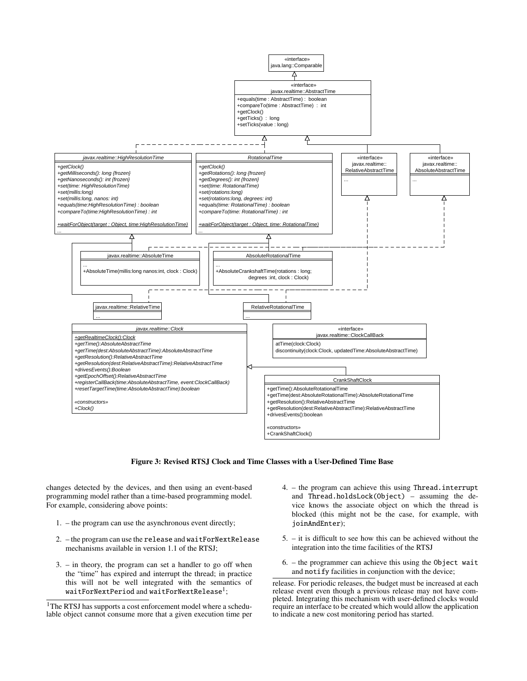

#### Figure 3: Revised RTSJ Clock and Time Classes with a User-Defined Time Base

<span id="page-4-1"></span>changes detected by the devices, and then using an event-based programming model rather than a time-based programming model. For example, considering above points:

- 1. the program can use the asynchronous event directly;
- 2. the program can use the release and waitForNextRelease mechanisms available in version 1.1 of the RTSJ;
- 3. in theory, the program can set a handler to go off when the "time" has expired and interrupt the thread; in practice this will not be well integrated with the semantics of <code>waitForNextPeriod</code> and <code>waitForNextRelease $^{\rm l}$ ;</code>
- 4. the program can achieve this using Thread.interrupt and Thread.holdsLock(Object) – assuming the device knows the associate object on which the thread is blocked (this might not be the case, for example, with joinAndEnter);
- 5. it is difficult to see how this can be achieved without the integration into the time facilities of the RTSJ
- 6. the programmer can achieve this using the Object wait and notify facilities in conjunction with the device;

<span id="page-4-0"></span><sup>&</sup>lt;sup>1</sup>The RTSJ has supports a cost enforcement model where a schedulable object cannot consume more that a given execution time per

release. For periodic releases, the budget must be increased at each release event even though a previous release may not have completed. Integrating this mechanism with user-defined clocks would require an interface to be created which would allow the application to indicate a new cost monitoring period has started.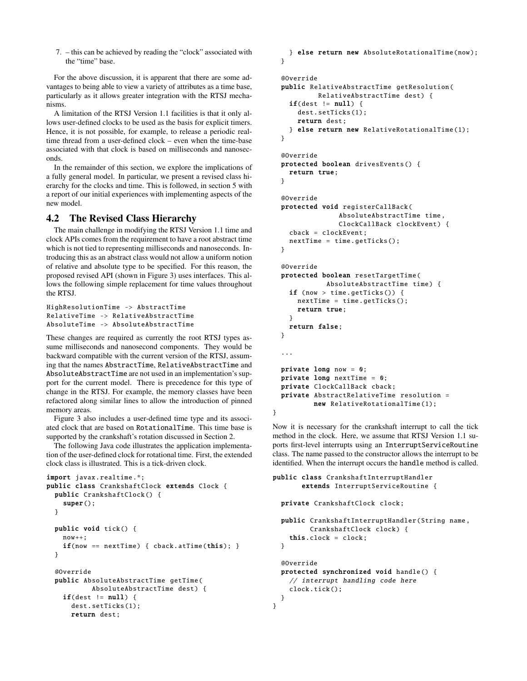7. – this can be achieved by reading the "clock" associated with the "time" base.

For the above discussion, it is apparent that there are some advantages to being able to view a variety of attributes as a time base, particularly as it allows greater integration with the RTSJ mechanisms.

A limitation of the RTSJ Version 1.1 facilities is that it only allows user-defined clocks to be used as the basis for explicit timers. Hence, it is not possible, for example, to release a periodic realtime thread from a user-defined clock – even when the time-base associated with that clock is based on milliseconds and nanoseconds.

In the remainder of this section, we explore the implications of a fully general model. In particular, we present a revised class hierarchy for the clocks and time. This is followed, in section [5](#page-6-0) with a report of our initial experiences with implementing aspects of the new model.

## <span id="page-5-0"></span>4.2 The Revised Class Hierarchy

The main challenge in modifying the RTSJ Version 1.1 time and clock APIs comes from the requirement to have a root abstract time which is not tied to representing milliseconds and nanoseconds. Introducing this as an abstract class would not allow a uniform notion of relative and absolute type to be specified. For this reason, the proposed revised API (shown in Figure [3\)](#page-4-1) uses interfaces. This allows the following simple replacement for time values throughout the RTSJ.

```
HighResolutionTime -> AbstractTime
RelativeTime -> RelativeAbstractTime
AbsoluteTime -> AbsoluteAbstractTime
```
These changes are required as currently the root RTSJ types assume milliseconds and nanosecond components. They would be backward compatible with the current version of the RTSJ, assuming that the names AbstractTime, RelativeAbstractTime and AbsoluteAbstractTime are not used in an implementation's support for the current model. There is precedence for this type of change in the RTSJ. For example, the memory classes have been refactored along similar lines to allow the introduction of pinned memory areas.

Figure [3](#page-4-1) also includes a user-defined time type and its associated clock that are based on RotationalTime. This time base is supported by the crankshaft's rotation discussed in Section [2.](#page-0-0)

The following Java code illustrates the application implementation of the user-defined clock for rotational time. First, the extended clock class is illustrated. This is a tick-driven clock.

```
import javax.realtime.*;
public class CrankshaftClock extends Clock {
  public CrankshaftClock () {
    super();
 }
 public void tick () {
    now++:if(new == nextTime) { check.atTime(this); }}
  @Override
  public AbsoluteAbstractTime getTime(
           AbsoluteAbstractTime dest) {
    if(dest != null) {
      dest.setTicks (1);
      return dest;
```

```
} else return new AbsoluteRotationalTime (now );
  }
  @Override
  public RelativeAbstractTime getResolution (
           RelativeAbstractTime dest) {
    if(dest != null) {
      dest.setTicks (1);
      return dest;
    } else return new RelativeRotationalTime (1);
  }
  @Override
  protected boolean drivesEvents () {
    return true;
  }
  @Override
  protected void registerCallBack (
                AbsoluteAbstractTime time ,
                ClockCallBack clockEvent) {
    cback = clockEvent ;
    nextTime = time.getTicks();
  }
  @Override
  protected boolean resetTargetTime (
             AbsoluteAbstractTime time) {
    if (now > time.getTicks()) {
      nextTime = time.getTicks ();
      return true;
    }
    return false;
  }
  ...
 private long now = 0;
 private long nextTime = 0;
  private ClockCallBack cback;
 private AbstractRelativeTime resolution =
          new RelativeRotationalTime (1);
}
```
Now it is necessary for the crankshaft interrupt to call the tick method in the clock. Here, we assume that RTSJ Version 1.1 suports first-level interrupts using an InterruptServiceRoutine class. The name passed to the constructor allows the interrupt to be identified. When the interrupt occurs the handle method is called.

```
public class CrankshaftInterruptHandler
       extends InterruptServiceRoutine {
  private CrankshaftClock clock;
  public CrankshaftInterruptHandler (String name ,
         CrankshaftClock clock) {
    this.clock = clock;
  }
  @Override
  protected synchronized void handle () {
    // interrupt handling code here
    clock.tick ();
 }
}
```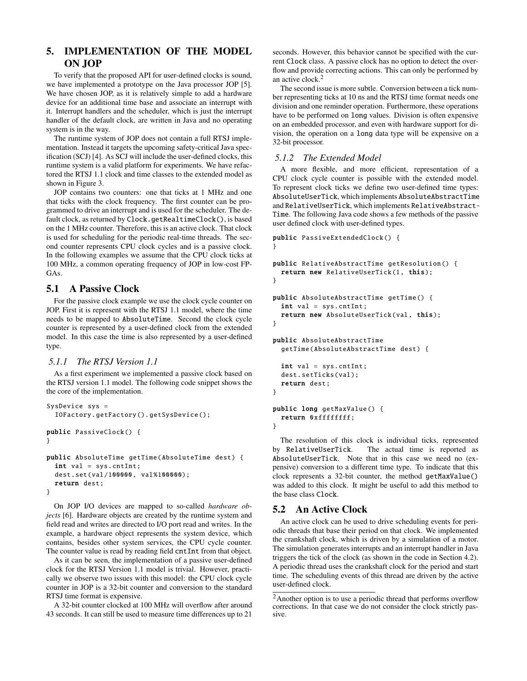## <span id="page-6-0"></span>5. IMPLEMENTATION OF THE MODEL ON JOP

To verify that the proposed API for user-defined clocks is sound, we have implemented a prototype on the Java processor JOP [\[5\]](#page-7-4). We have chosen JOP, as it is relatively simple to add a hardware device for an additional time base and associate an interrupt with it. Interrupt handlers and the scheduler, which is just the interrupt handler of the default clock, are written in Java and no operating system is in the way.

The runtime system of JOP does not contain a full RTSJ implementation. Instead it targets the upcoming safety-critical Java specification (SCJ) [\[4\]](#page-7-5). As SCJ will include the user-defined clocks, this runtime system is a valid platform for experiments. We have refactored the RTSJ 1.1 clock and time classes to the extended model as shown in Figure [3.](#page-4-1)

JOP contains two counters: one that ticks at 1 MHz and one that ticks with the clock frequency. The first counter can be programmed to drive an interrupt and is used for the scheduler. The default clock, as returned by Clock.getRealtimeClock(), is based on the 1 MHz counter. Therefore, this is an active clock. That clock is used for scheduling for the periodic real-time threads. The second counter represents CPU clock cycles and is a passive clock. In the following examples we assume that the CPU clock ticks at 100 MHz, a common operating frequency of JOP in low-cost FP-GAs.

## 5.1 A Passive Clock

For the passive clock example we use the clock cycle counter on JOP. First it is represent with the RTSJ 1.1 model, where the time needs to be mapped to AbsoluteTime. Second the clock cycle counter is represented by a user-defined clock from the extended model. In this case the time is also represented by a user-defined type.

#### *5.1.1 The RTSJ Version 1.1*

As a first experiment we implemented a passive clock based on the RTSJ version 1.1 model. The following code snippet shows the the core of the implementation.

```
SysDevice sys =
  IOFactory . getFactory (). getSysDevice ();
public PassiveClock () {
}
public AbsoluteTime getTime( AbsoluteTime dest) {
  int val = sys.cntInt;
  dest.set(val/100000, val%100000);
  return dest;
}
```
On JOP I/O devices are mapped to so-called *hardware objects* [\[6\]](#page-7-6). Hardware objects are created by the runtime system and field read and writes are directed to I/O port read and writes. In the example, a hardware object represents the system device, which contains, besides other system services, the CPU cycle counter. The counter value is read by reading field cntInt from that object.

As it can be seen, the implementation of a passive user-defined clock for the RTSJ Version 1.1 model is trivial. However, practically we observe two issues with this model: the CPU clock cycle counter in JOP is a 32-bit counter and conversion to the standard RTSJ time format is expensive.

A 32-bit counter clocked at 100 MHz will overflow after around 43 seconds. It can still be used to measure time differences up to 21

seconds. However, this behavior cannot be specified with the current Clock class. A passive clock has no option to detect the overflow and provide correcting actions. This can only be performed by an active clock.<sup>[2](#page-6-1)</sup>

The second issue is more subtle. Conversion between a tick number representing ticks at 10 ns and the RTSJ time format needs one division and one reminder operation. Furthermore, these operations have to be performed on long values. Division is often expensive on an embedded processor, and even with hardware support for division, the operation on a long data type will be expensive on a 32-bit processor.

#### *5.1.2 The Extended Model*

A more flexible, and more efficient, representation of a CPU clock cycle counter is possible with the extended model. To represent clock ticks we define two user-defined time types: AbsoluteUserTick, which implements AbsoluteAbstractTime and RelativeUserTick, which implements RelativeAbstract-Time. The following Java code shows a few methods of the passive user defined clock with user-defined types.

```
public PassiveExtendedClock () {
}
public RelativeAbstractTime getResolution () {
  return new RelativeUserTick (1, this);
}
public AbsoluteAbstractTime getTime () {
  int val = sys.cntInt;
  return new AbsoluteUserTick (val , this);
}
public AbsoluteAbstractTime
  getTime( AbsoluteAbstractTime dest) {
  int val = sys.cntInt;
  dest.setTicks(val);
  return dest;
}
public long getMaxValue () {
  return 0xffffffff;
}
```
The resolution of this clock is individual ticks, represented by RelativeUserTick. The actual time is reported as AbsoluteUserTick. Note that in this case we need no (expensive) conversion to a different time type. To indicate that this clock represents a 32-bit counter, the method getMaxValue() was added to this clock. It might be useful to add this method to the base class Clock.

## 5.2 An Active Clock

An active clock can be used to drive scheduling events for periodic threads that base their period on that clock. We implemented the crankshaft clock, which is driven by a simulation of a motor. The simulation generates interrupts and an interrupt handler in Java triggers the tick of the clock (as shown in the code in Section [4.2\)](#page-5-0). A periodic thread uses the crankshaft clock for the period and start time. The scheduling events of this thread are driven by the active user-defined clock.

<span id="page-6-1"></span><sup>2</sup>Another option is to use a periodic thread that performs overflow corrections. In that case we do not consider the clock strictly passive.